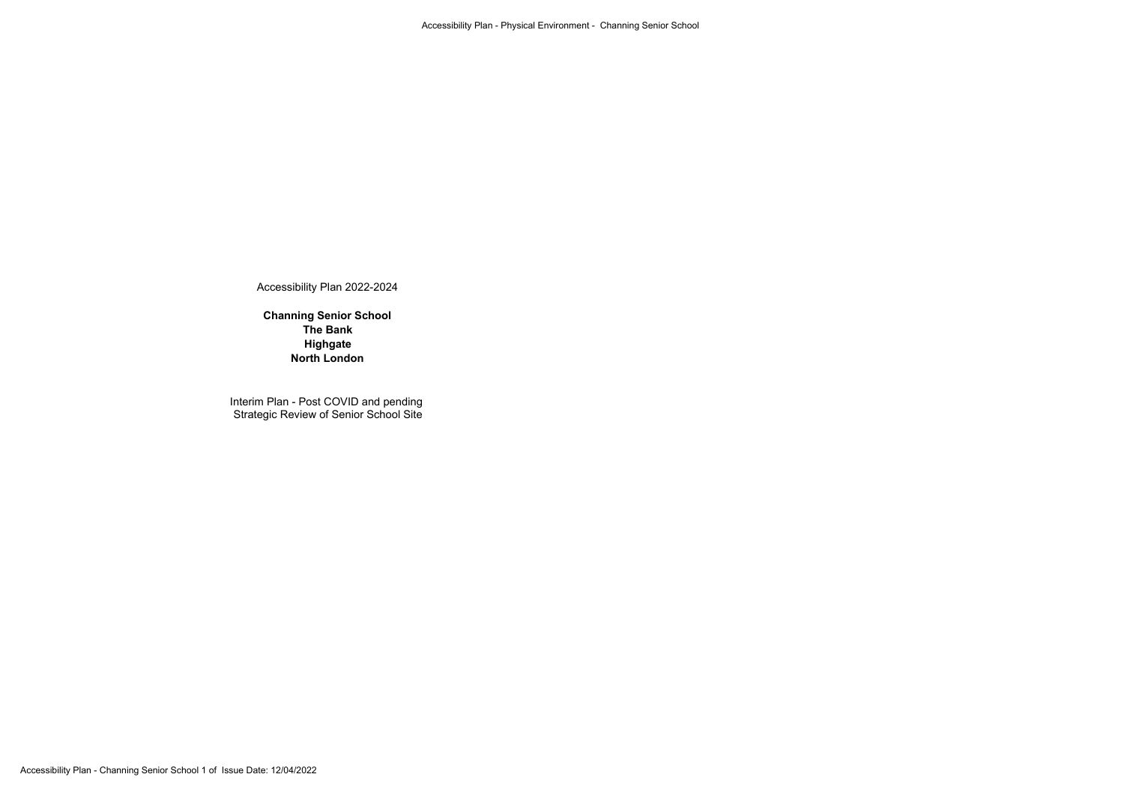Accessibility Plan 2022-2024

**Channing Senior School The Bank Highgate North London**

Interim Plan - Post COVID and pending Strategic Review of Senior School Site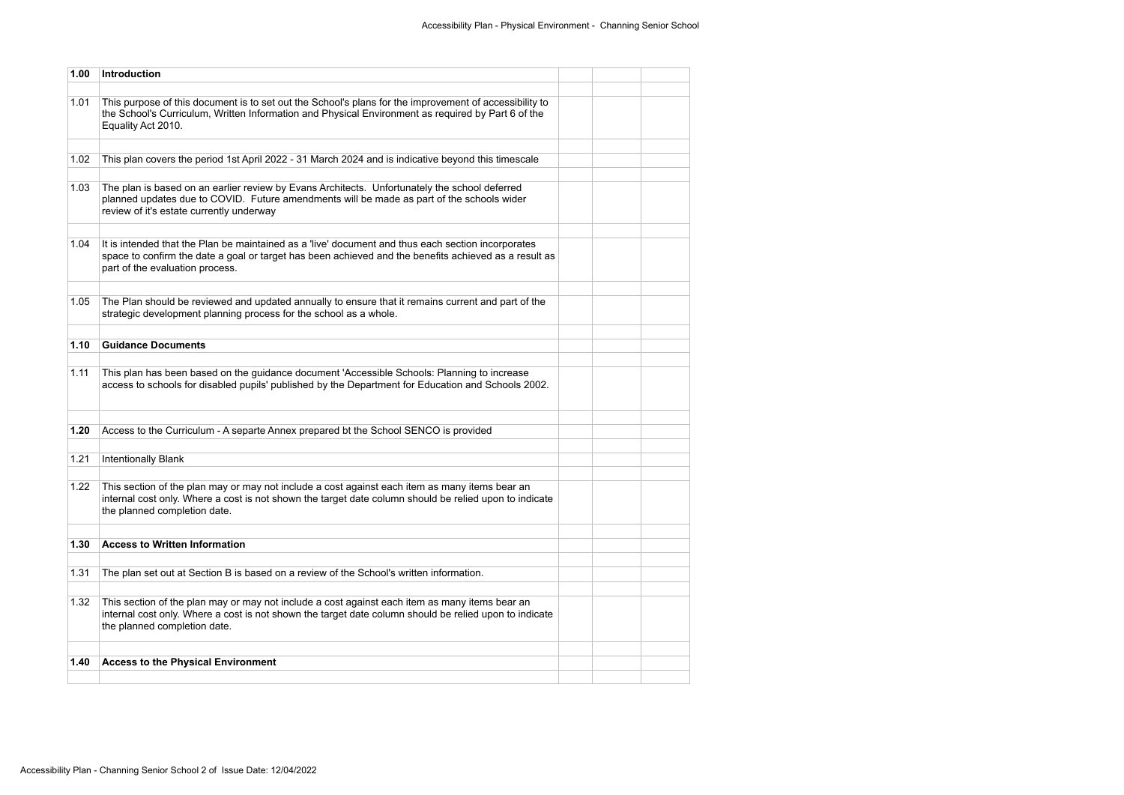| 1.00 | <b>Introduction</b>                                                                                                                                                                                                                            |  |  |
|------|------------------------------------------------------------------------------------------------------------------------------------------------------------------------------------------------------------------------------------------------|--|--|
| 1.01 | This purpose of this document is to set out the School's plans for the improvement of accessibility to<br>the School's Curriculum, Written Information and Physical Environment as required by Part 6 of the<br>Equality Act 2010.             |  |  |
| 1.02 | This plan covers the period 1st April 2022 - 31 March 2024 and is indicative beyond this timescale                                                                                                                                             |  |  |
| 1.03 | The plan is based on an earlier review by Evans Architects. Unfortunately the school deferred<br>planned updates due to COVID. Future amendments will be made as part of the schools wider<br>review of it's estate currently underway         |  |  |
| 1.04 | It is intended that the Plan be maintained as a 'live' document and thus each section incorporates<br>space to confirm the date a goal or target has been achieved and the benefits achieved as a result as<br>part of the evaluation process. |  |  |
| 1.05 | The Plan should be reviewed and updated annually to ensure that it remains current and part of the<br>strategic development planning process for the school as a whole.                                                                        |  |  |
| 1.10 | <b>Guidance Documents</b>                                                                                                                                                                                                                      |  |  |
| 1.11 | This plan has been based on the guidance document 'Accessible Schools: Planning to increase<br>access to schools for disabled pupils' published by the Department for Education and Schools 2002.                                              |  |  |
| 1.20 | Access to the Curriculum - A separte Annex prepared bt the School SENCO is provided                                                                                                                                                            |  |  |
| 1.21 | <b>Intentionally Blank</b>                                                                                                                                                                                                                     |  |  |
| 1.22 | This section of the plan may or may not include a cost against each item as many items bear an<br>internal cost only. Where a cost is not shown the target date column should be relied upon to indicate<br>the planned completion date.       |  |  |
| 1.30 | <b>Access to Written Information</b>                                                                                                                                                                                                           |  |  |
| 1.31 | The plan set out at Section B is based on a review of the School's written information.                                                                                                                                                        |  |  |
| 1.32 | This section of the plan may or may not include a cost against each item as many items bear an<br>internal cost only. Where a cost is not shown the target date column should be relied upon to indicate<br>the planned completion date.       |  |  |
| 1.40 | <b>Access to the Physical Environment</b>                                                                                                                                                                                                      |  |  |
|      |                                                                                                                                                                                                                                                |  |  |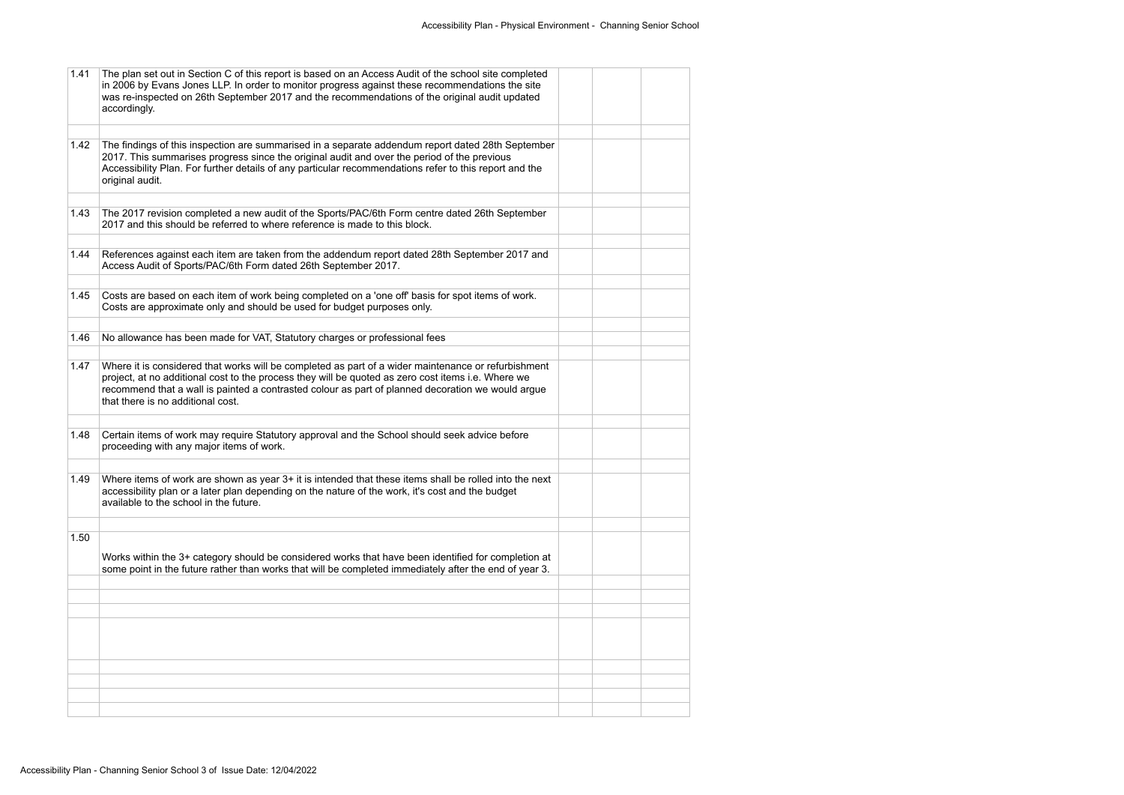| 1.41 | The plan set out in Section C of this report is based on an Access Audit of the school site completed<br>in 2006 by Evans Jones LLP. In order to monitor progress against these recommendations the site<br>was re-inspected on 26th September 2017 and the recommendations of the original audit updated<br>accordingly.                           |  |  |
|------|-----------------------------------------------------------------------------------------------------------------------------------------------------------------------------------------------------------------------------------------------------------------------------------------------------------------------------------------------------|--|--|
|      |                                                                                                                                                                                                                                                                                                                                                     |  |  |
| 1.42 | The findings of this inspection are summarised in a separate addendum report dated 28th September<br>2017. This summarises progress since the original audit and over the period of the previous<br>Accessibility Plan. For further details of any particular recommendations refer to this report and the<br>original audit.                       |  |  |
|      |                                                                                                                                                                                                                                                                                                                                                     |  |  |
| 1.43 | The 2017 revision completed a new audit of the Sports/PAC/6th Form centre dated 26th September<br>2017 and this should be referred to where reference is made to this block.                                                                                                                                                                        |  |  |
| 1.44 | References against each item are taken from the addendum report dated 28th September 2017 and<br>Access Audit of Sports/PAC/6th Form dated 26th September 2017.                                                                                                                                                                                     |  |  |
|      |                                                                                                                                                                                                                                                                                                                                                     |  |  |
| 1.45 | Costs are based on each item of work being completed on a 'one off' basis for spot items of work.<br>Costs are approximate only and should be used for budget purposes only.                                                                                                                                                                        |  |  |
|      |                                                                                                                                                                                                                                                                                                                                                     |  |  |
| 1.46 | No allowance has been made for VAT, Statutory charges or professional fees                                                                                                                                                                                                                                                                          |  |  |
|      |                                                                                                                                                                                                                                                                                                                                                     |  |  |
| 1.47 | Where it is considered that works will be completed as part of a wider maintenance or refurbishment<br>project, at no additional cost to the process they will be quoted as zero cost items i.e. Where we<br>recommend that a wall is painted a contrasted colour as part of planned decoration we would argue<br>that there is no additional cost. |  |  |
|      |                                                                                                                                                                                                                                                                                                                                                     |  |  |
| 1.48 | Certain items of work may require Statutory approval and the School should seek advice before<br>proceeding with any major items of work.                                                                                                                                                                                                           |  |  |
|      |                                                                                                                                                                                                                                                                                                                                                     |  |  |
| 1.49 | Where items of work are shown as year 3+ it is intended that these items shall be rolled into the next<br>accessibility plan or a later plan depending on the nature of the work, it's cost and the budget<br>available to the school in the future.                                                                                                |  |  |
|      |                                                                                                                                                                                                                                                                                                                                                     |  |  |
| 1.50 |                                                                                                                                                                                                                                                                                                                                                     |  |  |
|      | Works within the 3+ category should be considered works that have been identified for completion at<br>some point in the future rather than works that will be completed immediately after the end of year 3.                                                                                                                                       |  |  |
|      |                                                                                                                                                                                                                                                                                                                                                     |  |  |
|      |                                                                                                                                                                                                                                                                                                                                                     |  |  |
|      |                                                                                                                                                                                                                                                                                                                                                     |  |  |
|      |                                                                                                                                                                                                                                                                                                                                                     |  |  |
|      |                                                                                                                                                                                                                                                                                                                                                     |  |  |
|      |                                                                                                                                                                                                                                                                                                                                                     |  |  |
|      |                                                                                                                                                                                                                                                                                                                                                     |  |  |
|      |                                                                                                                                                                                                                                                                                                                                                     |  |  |
|      |                                                                                                                                                                                                                                                                                                                                                     |  |  |
|      |                                                                                                                                                                                                                                                                                                                                                     |  |  |
|      |                                                                                                                                                                                                                                                                                                                                                     |  |  |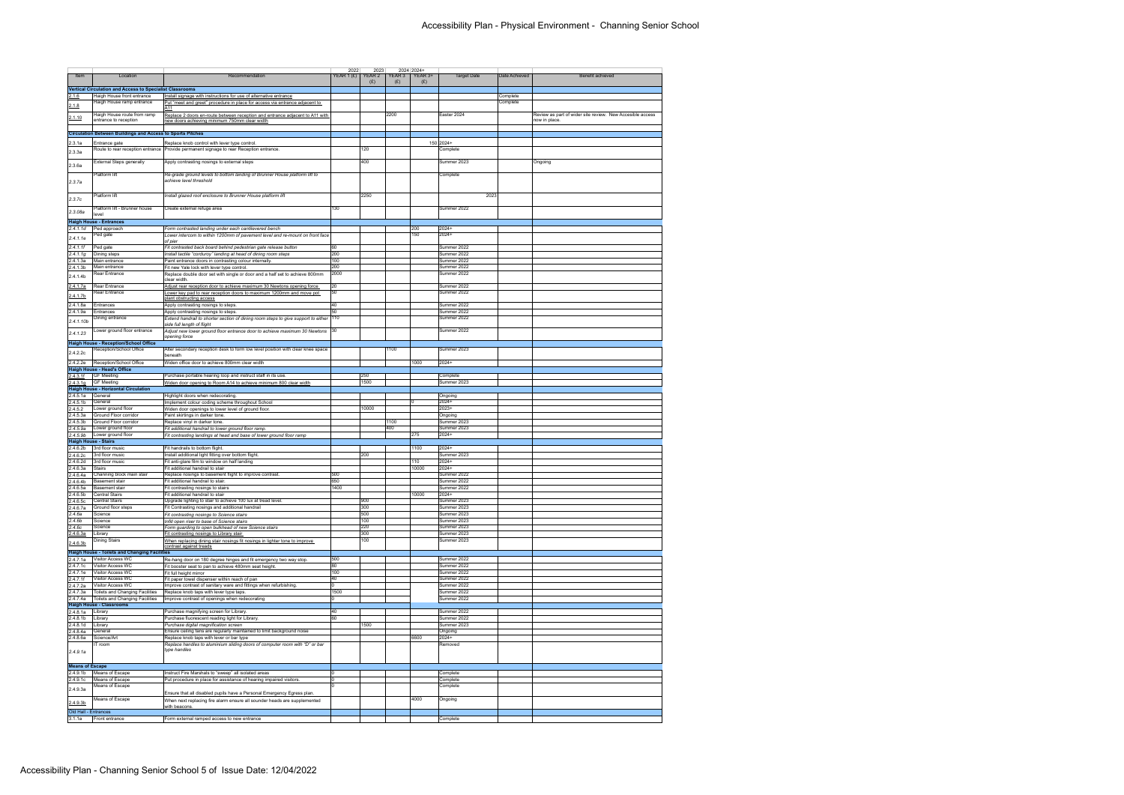| Item                                                | Location<br><b>Vertical Circulation and Access to Specialist Classrooms</b> | Recommendation                                                                                                                                                     | 2022<br>YEAR 1 $(E)$ | 2023<br>YEAR 2<br>(E) | YEAR 3<br>(E) | 2024 2024+<br>YEAR 3+<br>(E) | <b>Target Date</b>         | Date Achieved | Benefit achieved                                          |
|-----------------------------------------------------|-----------------------------------------------------------------------------|--------------------------------------------------------------------------------------------------------------------------------------------------------------------|----------------------|-----------------------|---------------|------------------------------|----------------------------|---------------|-----------------------------------------------------------|
| 2.1.6                                               | Haigh House front entrance                                                  | Install signage with instructions for use of alternative entrance                                                                                                  |                      |                       |               |                              |                            | Complete      |                                                           |
| 2.1.8<br>2.1.10                                     | Haigh House ramp entrance<br>Haigh House route from ramp                    | Put "meet and greet" procedure in place for access via entrance adjacent to<br>A11<br>Replace 2 doors en-route between reception and entrance adjacent to A11 with |                      |                       | 2200          |                              | Easter 2024                | Complete      | Review as part of wider site review. New Accesible access |
|                                                     | entrance to reception                                                       | new doors achieving minimum 750mm clear width                                                                                                                      |                      |                       |               |                              |                            |               | now in place.                                             |
|                                                     | <b>Circulation Between Buildings and Access to Sports Pitches</b>           |                                                                                                                                                                    |                      |                       |               |                              |                            |               |                                                           |
| 2.3.1a                                              | Entrance gate                                                               | Replace knob control with lever type control.                                                                                                                      |                      |                       |               |                              | 150 2024+                  |               |                                                           |
| 2.3.3a                                              |                                                                             | Route to rear reception entrance   Provide permanent signage to rear Reception entrance.                                                                           |                      | 120                   |               |                              | Complete                   |               |                                                           |
| 2.3.6a                                              | <b>External Steps generally</b>                                             | Apply contrasting nosings to external steps                                                                                                                        |                      | 400                   |               |                              | Summer 2023                |               | Ongoing                                                   |
|                                                     | Platform lift                                                               | Re-grade ground levels to bottom landing of Brunner House platform lift to                                                                                         |                      |                       |               |                              | Complete                   |               |                                                           |
| 2.3.7a                                              |                                                                             | achieve level threshold                                                                                                                                            |                      |                       |               |                              |                            |               |                                                           |
| 2.3.7c                                              | Platform lift                                                               | Install glazed roof enclosure to Brunner House platform lift                                                                                                       |                      | 2250                  |               |                              | 2023                       |               |                                                           |
| 2.3.08a                                             | Platform lift - Brunner house                                               | Create external refuge area                                                                                                                                        | 130                  |                       |               |                              | Summer 2022                |               |                                                           |
|                                                     | level<br><b>Haigh House - Entrances</b>                                     |                                                                                                                                                                    |                      |                       |               |                              |                            |               |                                                           |
| 2.4.1.1d                                            | Ped approach                                                                | Form contrasted landing under each cantilevered bench                                                                                                              |                      |                       |               | 200                          | $2024+$                    |               |                                                           |
| 2.4.1.1e                                            | Ped gate                                                                    | Lower intercom to within 1200mm of pavement level and re-mount on front face                                                                                       |                      |                       |               | 150                          | $2024+$                    |               |                                                           |
| 2.4.1.1f                                            | Ped gate                                                                    | of pier<br>Fit contrasted back board behind pedestrian gate release button                                                                                         | 60                   |                       |               |                              | Summer 2022                |               |                                                           |
| 2.4.1.1g                                            | Dining steps                                                                | Install tactile "corduroy" landing at head of dining room steps                                                                                                    | 200                  |                       |               |                              | Summer 2022                |               |                                                           |
| 2.4.1.3a                                            | Main entrance<br>Main entrance                                              | Paint entrance doors in contrasting colour internally                                                                                                              | 100<br>200           |                       |               |                              | Summer 2022<br>Summer 2022 |               |                                                           |
| 2.4.1.3b                                            | Rear Entrance                                                               | Fit new Yale lock with lever type control.<br>Replace double door set with single or door and a half set to achieve 800mm                                          | 2000                 |                       |               |                              | Summer 2022                |               |                                                           |
| 2.4.1.4b                                            |                                                                             | clear width.                                                                                                                                                       |                      |                       |               |                              |                            |               |                                                           |
| <u>2.4.1.7a</u>                                     | Rear Entrance<br>Rear Entrance                                              | Adjust rear reception door to achieve maximum 30 Newtons opening force<br>Lower key pad to rear reception doors to maximum 1200mm and move pot                     | 20<br>50             |                       |               |                              | Summer 2022<br>Summer 2022 |               |                                                           |
| 2.4.1.7b                                            |                                                                             | plant obstructing access                                                                                                                                           |                      |                       |               |                              |                            |               |                                                           |
| 2.4.1.8a<br>2.4.1.9a                                | Entrances<br>Entrances                                                      | Apply contrasting nosings to steps.<br>Apply contrasting nosings to steps.                                                                                         | 40<br>50             |                       |               |                              | Summer 2022<br>Summer 2022 |               |                                                           |
| 2.4.1.10 <sub>b</sub>                               | Dining entrance                                                             | Extend handrail to shorter section of dining room steps to give support to either 110                                                                              |                      |                       |               |                              | Summer 2022                |               |                                                           |
|                                                     | Lower ground floor entrance                                                 | side full length of flight                                                                                                                                         |                      |                       |               |                              | Summer 2022                |               |                                                           |
| 2.4.1.23                                            |                                                                             | Adjust new lower ground floor entrance door to achieve maximum 30 Newtons 30<br>opening force                                                                      |                      |                       |               |                              |                            |               |                                                           |
|                                                     | <b>Haigh House - Reception/School Office</b>                                |                                                                                                                                                                    |                      |                       |               |                              |                            |               |                                                           |
| 2.4.2.2c                                            | Reception/School Office                                                     | Alter secondary reception desk to form low level position with clear knee space<br>beneath                                                                         |                      |                       | 1100          |                              | Summer 2023                |               |                                                           |
| 2.4.2.2e                                            | Reception/School Office                                                     | Widen office door to achieve 800mm clear width                                                                                                                     |                      |                       |               | 1000                         | 2024+                      |               |                                                           |
| 2.4.3.1f                                            | <b>Haigh House - Head's Office</b><br><b>GF Meeting</b>                     | Purchase portable hearing loop and instruct staff in its use.                                                                                                      |                      | 250                   |               |                              | Complete                   |               |                                                           |
| 2.4.3.1q                                            | <b>GF Meeting</b>                                                           | Widen door opening to Room A14 to achieve minimum 800 clear width                                                                                                  |                      | 1500                  |               |                              | Summer 2023                |               |                                                           |
|                                                     | <b>Haigh House - Horizontal Circulation</b>                                 |                                                                                                                                                                    |                      |                       |               |                              |                            |               |                                                           |
| 2.4.5.1a<br>2.4.5.1 <sub>b</sub>                    | General<br>General                                                          | Highlight doors when redecorating<br>Implement colour coding scheme throughout School                                                                              |                      |                       |               | <sup>n</sup>                 | Ongoing<br>$2024 +$        |               |                                                           |
| 2.4.5.2                                             | Lower ground floor                                                          | Widen door openings to lower level of ground floor.                                                                                                                |                      | 10000                 |               |                              | $2023+$                    |               |                                                           |
| 2.4.5.3a<br>2.4.5.3 <sub>b</sub>                    | Ground Floor corridor<br>Ground Floor corridor                              | Paint skirtings in darker tone.                                                                                                                                    |                      |                       | 1100          |                              | Ongoing<br>Summer 2023     |               |                                                           |
| 2.4.5.9a                                            | Lower ground floor                                                          | Replace vinyl in darker tone.<br>Fit additional handrail to lower ground floor ramp.                                                                               |                      |                       | 400           |                              | Summer 2023                |               |                                                           |
| 2.4.5.9 <sub>b</sub>                                | Lower ground floor                                                          | Fit contrasting landings at head and base of lower ground floor ramp                                                                                               |                      |                       |               | 275                          | $2024+$                    |               |                                                           |
| <b>Haigh House - Stairs</b><br>2.4.6.2 <sub>b</sub> | 3rd floor music                                                             | Fit handrails to bottom flight.                                                                                                                                    |                      |                       |               | 1100                         | $2024+$                    |               |                                                           |
| 2.4.6.2c                                            | 3rd floor music                                                             | Install additional light fitting over bottom flight.                                                                                                               |                      | 200                   |               |                              | Summer 2023                |               |                                                           |
| 2.4.6.2d                                            | 3rd floor music                                                             | Fit anti-glare film to window on half landing                                                                                                                      |                      |                       |               | 110                          | 2024+                      |               |                                                           |
| 2.4.6.3a<br>2.4.6.4a                                | <b>Stairs</b><br>Channing block main stair                                  | Fit additional handrail to stair<br>Replace nosings to basement flight to improve contrast.                                                                        | 500                  |                       |               | 10000                        | $2024+$<br>Summer 2022     |               |                                                           |
| 2.4.6.4b                                            | <b>Basement stair</b>                                                       | Fit additional handrail to stair.                                                                                                                                  | 650                  |                       |               |                              | Summer 2022                |               |                                                           |
| 2.4.6.5a                                            | <b>Basement stair</b>                                                       | Fit contrasting nosings to stairs                                                                                                                                  | 1400                 |                       |               |                              | Summer 2022                |               |                                                           |
| 2.4.6.5 <sub>b</sub><br>2.4.6.5c                    | <b>Central Stairs</b><br>Central Stairs                                     | Fit additional handrail to stair<br>Upgrade lighting to stair to achieve 100 lux at tread level.                                                                   |                      | 900                   |               | 10000                        | $2024+$<br>Summer 2023     |               |                                                           |
| 2.4.6.7a                                            | Ground floor steps                                                          | Fit Contrasting nosings and additional handrail                                                                                                                    |                      | 300                   |               |                              | Summer 2023                |               |                                                           |
| 2.4.6a<br>2.4.6 <sub>b</sub>                        | Science<br>Science                                                          | Fit contrasting nosings to Science stairs                                                                                                                          |                      | 500<br>100            |               |                              | Summer 2023<br>Summer 2023 |               |                                                           |
| 2.4.6c                                              | Science                                                                     | Infill open riser to base of Science stairs<br>Form guarding to open bulkhead of new Science stairs                                                                |                      | 220                   |               |                              | Summer 2023                |               |                                                           |
| 2.4.6.3a                                            | Library                                                                     | Fit contrasting nosings to Library stair                                                                                                                           |                      | 300                   |               |                              | Summer 2023                |               |                                                           |
| 2.4.6.3 <sub>b</sub>                                | Dining Stairs                                                               | When replacing dining stair nosings fit nosings in lighter tone to improve<br>contrast against treads                                                              |                      | 100                   |               |                              | Summer 2023                |               |                                                           |
|                                                     | <b>Haigh House - Toilets and Changing Facilities</b>                        |                                                                                                                                                                    |                      |                       |               |                              |                            |               |                                                           |
| 2.4.7.1a                                            | Visitor Access WC<br><b>Visitor Access WC</b>                               | Re-hang door on 180 degree hinges and fit emergency two way stop.                                                                                                  | 500<br>80            |                       |               |                              | Summer 2022<br>Summer 2022 |               |                                                           |
| 2.4.7.1c<br>2.4.7.1e                                | Visitor Access WC                                                           | Fit booster seat to pan to achieve 480mm seat height.<br>Fit full height mirror                                                                                    | 100                  |                       |               |                              | Summer 2022                |               |                                                           |
| 2.4.7.1f                                            | Visitor Access WC                                                           | Fit paper towel dispenser within reach of pan                                                                                                                      | 40                   |                       |               |                              | Summer 2022                |               |                                                           |
| 2.4.7.2a<br>2.4.7.3a                                | Visitor Access WC<br>Toilets and Changing Facilities                        | Improve contrast of sanitary ware and fittings when refurbishing.<br>Replace knob taps with lever type taps.                                                       | <sup>0</sup><br>1500 |                       |               |                              | Summer 2022<br>Summer 2022 |               |                                                           |
| 2.4.7.4a                                            | Toilets and Changing Facilities                                             | Improve contrast of openings when redecorating                                                                                                                     | n.                   |                       |               |                              | Summer 2022                |               |                                                           |
|                                                     | <b>Haigh House - Classrooms</b>                                             |                                                                                                                                                                    |                      |                       |               |                              |                            |               |                                                           |
| 2.4.8.1a<br>2.4.8.1 <sub>b</sub>                    | Library<br>Library                                                          | Purchase magnifying screen for Library.<br>Purchase fluorescent reading light for Library.                                                                         | 40<br>60             |                       |               |                              | Summer 2022<br>Summer 2022 |               |                                                           |
| 2.4.8.1d                                            | Library                                                                     | Purchase digital magnification screen                                                                                                                              |                      | 1500                  |               |                              | Summer 2023                |               |                                                           |
| 2.4.8.4a                                            | General                                                                     | Ensure ceiling fans are regularly maintained to limit background noise                                                                                             |                      |                       |               |                              | Ongoing                    |               |                                                           |
| 2.4.8.6a                                            | Science/Art<br>IT room                                                      | Replace knob taps with lever or bar type<br>Replace handles to aluminium sliding doors of computer room with "D" or bar                                            |                      |                       |               | 6600                         | $2024+$<br>Removed         |               |                                                           |
| 2.4.9.1a                                            |                                                                             | type handles                                                                                                                                                       |                      |                       |               |                              |                            |               |                                                           |
| <b>Means of Escape</b>                              |                                                                             |                                                                                                                                                                    |                      |                       |               |                              |                            |               |                                                           |
| 2.4.9.1 <sub>b</sub><br>2.4.9.1c                    | Means of Escape<br>Means of Escape                                          | Instruct Fire Marshals to "sweep" all isolated areas<br>Put procedure in place for assistance of hearing impaired visitors.                                        | 0<br>0               |                       |               |                              | Complete<br>Complete       |               |                                                           |
| 2.4.9.3a                                            | Means of Escape                                                             |                                                                                                                                                                    | O.                   |                       |               |                              | Complete                   |               |                                                           |
|                                                     | Means of Escape                                                             | Ensure that all disabled pupils have a Personal Emergency Egress plan.<br>When next replacing fire alarm ensure all sounder heads are supplemented                 |                      |                       |               | 4000                         | Ongoing                    |               |                                                           |
| 2.4.9.3 <sub>b</sub><br>Old Hall - Entrances        |                                                                             | with beacons.                                                                                                                                                      |                      |                       |               |                              |                            |               |                                                           |
| 3.1.1a                                              | Front entrance                                                              | Form external ramped access to new entrance                                                                                                                        |                      |                       |               |                              | Complete                   |               |                                                           |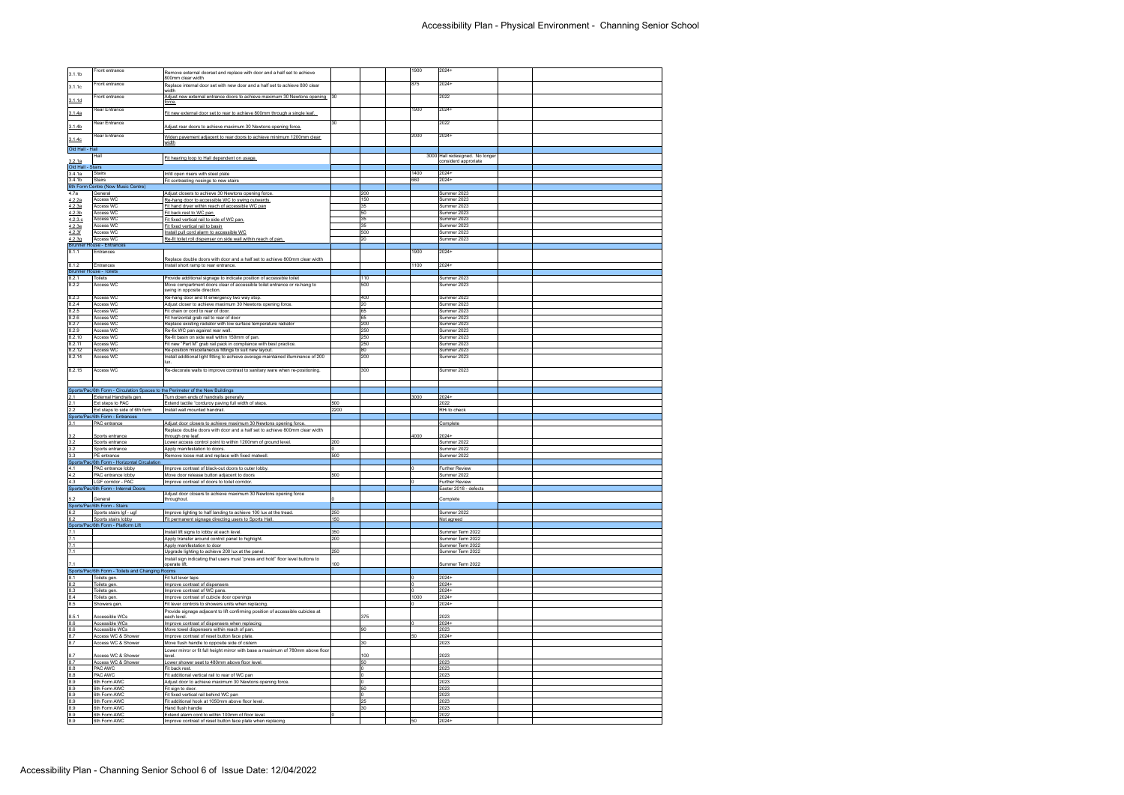|                                    | Front entrance                                                                 | Remove external doorset and replace with door and a half set to achieve                                                    |            |            | 1900 | $2024+$                                                 |  |
|------------------------------------|--------------------------------------------------------------------------------|----------------------------------------------------------------------------------------------------------------------------|------------|------------|------|---------------------------------------------------------|--|
| 3.1.1 <sub>b</sub>                 |                                                                                | 800mm clear width                                                                                                          |            |            |      |                                                         |  |
| 3.1.1c                             | Front entrance                                                                 | Replace internal door set with new door and a half set to achieve 800 clear                                                |            |            | 875  | $2024+$                                                 |  |
|                                    | Front entrance                                                                 | width<br>Adjust new external entrance doors to achieve maximum 30 Newtons opening 30                                       |            |            |      | 2022                                                    |  |
| 3.1.1d                             |                                                                                | <u>force.</u>                                                                                                              |            |            |      |                                                         |  |
|                                    | Rear Entrance                                                                  |                                                                                                                            |            |            | 1900 | $2024+$                                                 |  |
| 3.1.4a                             |                                                                                | Fit new external door set to rear to achieve 800mm through a single leaf.                                                  |            |            |      |                                                         |  |
| 3.1.4 <sub>b</sub>                 | Rear Entrance                                                                  | Adjust rear doors to achieve maximum 30 Newtons opening force.                                                             | 30         |            |      | 2022                                                    |  |
|                                    | Rear Entrance                                                                  | Widen pavement adjacent to rear doors to achieve minimum 1200mm clear                                                      |            |            | 2000 | $2024+$                                                 |  |
| 3.1.4c                             |                                                                                | <u>width</u>                                                                                                               |            |            |      |                                                         |  |
| Old Hall - Hall                    |                                                                                |                                                                                                                            |            |            |      |                                                         |  |
|                                    | Hall                                                                           | Fit hearing loop to Hall dependent on usage.                                                                               |            |            |      | 3000 Hall redesigned. No longer<br>considerd approriate |  |
| <u>3.2.1a</u><br>Old Hall - Stairs |                                                                                |                                                                                                                            |            |            |      |                                                         |  |
| 3.4.1a                             | Stairs                                                                         | Infill open risers with steel plate                                                                                        |            |            | 1400 | $2024+$                                                 |  |
| 3.4.1 <sub>b</sub>                 | Stairs                                                                         | Fit contrasting nosings to new stairs                                                                                      |            |            | 660  | $2024+$                                                 |  |
|                                    | 6th Form Centre (Now Music Centre)<br>General                                  | Adjust closers to achieve 30 Newtons opening force.                                                                        |            | 200        |      | Summer 2023                                             |  |
| 4.7a<br>4.2.2a                     | Access WC                                                                      | Re-hang door to accessible WC to swing outwards.                                                                           |            | 150        |      | Summer 2023                                             |  |
| 4.2.3a                             | Access WC                                                                      | Fit hand dryer within reach of accessible WC pan                                                                           |            | 35         |      | Summer 2023                                             |  |
| 4.2.3 <sub>b</sub>                 | Access WC                                                                      | Fit back rest to WC pan                                                                                                    |            | 50         |      | Summer 2023                                             |  |
| 4.2.3.c                            | Access WC                                                                      | Fit fixed vertical rail to side of WC pan.                                                                                 |            | 35         |      | Summer 2023                                             |  |
| 4.2.3e<br>4.2.3f                   | Access WC<br>Access WC                                                         | Fit fixed vertical rail to basin<br>Install pull cord alarm to accessible WC                                               |            | 35<br>500  |      | Summer 2023<br>Summer 2023                              |  |
| 4.2.3g                             | Access WC                                                                      | Re-fit toilet roll dispenser on side wall within reach of pan.                                                             |            | 20         |      | Summer 2023                                             |  |
|                                    | <b>Brunner House - Entrances</b>                                               |                                                                                                                            |            |            |      |                                                         |  |
| 8.1.1                              | Entrances                                                                      |                                                                                                                            |            |            | 1900 | $2024+$                                                 |  |
| 8.1.2                              | Entrances                                                                      | Replace double doors with door and a half set to achieve 800mm clear width<br>Install short ramp to rear entrance.         |            |            | 1100 | 2024+                                                   |  |
|                                    | <b>Brunner House - Toilets</b>                                                 |                                                                                                                            |            |            |      |                                                         |  |
| 8.2.1                              | <b>Toilets</b>                                                                 | Provide additional signage to indicate position of accessible toilet                                                       |            | 110        |      | Summer 2023                                             |  |
| 8.2.2                              | Access WC                                                                      | Move compartment doors clear of accessible toilet entrance or re-hang to                                                   |            | 500        |      | Summer 2023                                             |  |
|                                    |                                                                                | swing in opposite direction.                                                                                               |            |            |      |                                                         |  |
| 8.2.3<br>8.2.4                     | Access WC<br><b>Access WC</b>                                                  | Re-hang door and fit emergency two way stop.<br>Adjust closer to achieve maximum 30 Newtons opening force.                 |            | 400<br>20  |      | Summer 2023<br>Summer 2023                              |  |
| 8.2.5                              | Access WC                                                                      | Fit chain or cord to rear of door.                                                                                         |            | 65         |      | Summer 2023                                             |  |
| 8.2.6                              | Access WC                                                                      | Fit horizontal grab rail to rear of door                                                                                   |            | 65         |      | Summer 2023                                             |  |
| 8.2.7                              | Access WC                                                                      | Replace existing radiator with low surface temperature radiator                                                            |            | 200        |      | Summer 2023                                             |  |
| 8.2.9<br>8.2.10                    | Access WC<br>Access WC                                                         | Re-fix WC pan against rear wall.                                                                                           |            | 250<br>250 |      | Summer 2023<br>Summer 2023                              |  |
| 8.2.11                             | Access WC                                                                      | Re-fit basin on side wall within 150mm of pan.<br>Fit new "Part M" grab rail pack in compliance with best practice.        |            | 250        |      | Summer 2023                                             |  |
| 8.2.12                             | Access WC                                                                      | Re-position miscellaneous fittings to suit new layout.                                                                     |            | 80         |      | Summer 2023                                             |  |
| 8.2.14                             | Access WC                                                                      | Install additional light fitting to achieve average maintained illuminance of 200                                          |            | 200        |      | Summer 2023                                             |  |
|                                    |                                                                                | lux.                                                                                                                       |            |            |      |                                                         |  |
| 8.2.15                             | Access WC                                                                      | Re-decorate walls to improve contrast to sanitary ware when re-positioning.                                                |            | 300        |      | Summer 2023                                             |  |
|                                    |                                                                                |                                                                                                                            |            |            |      |                                                         |  |
|                                    | Sports/Pac/6th Form - Circulation Spaces to the Perimeter of the New Buildings |                                                                                                                            |            |            |      |                                                         |  |
| 2.1                                | External Handrails gen.                                                        | Turn down ends of handrails generally                                                                                      |            |            |      |                                                         |  |
|                                    |                                                                                |                                                                                                                            |            |            | 3000 | $2024+$                                                 |  |
| 2.1                                | Ext steps to PAC                                                               | Extend tactile "corduroy paving full width of steps.                                                                       | 500        |            |      | 2022                                                    |  |
| 2.2                                | Ext steps to side of 6th form                                                  | Install wall mounted handrail.                                                                                             | 2200       |            |      | RHi to check                                            |  |
|                                    | Sports/Pac/6th Form - Entrances                                                |                                                                                                                            |            |            |      |                                                         |  |
| 3.1                                | PAC entrance                                                                   | Adjust door closers to achieve maximum 30 Newtons opening force.                                                           |            |            |      | Complete                                                |  |
| 3.2                                | Sports entrance                                                                | Replace double doors with door and a half set to achieve 800mm clear width<br>through one leaf.                            |            |            | 4000 | $2024+$                                                 |  |
| 3.2                                | Sports entrance                                                                | Lower access control point to within 1200mm of ground level.                                                               | 200        |            |      | Summer 2022                                             |  |
| 3.2                                | Sports entrance                                                                | Apply manifestation to doors.                                                                                              | 0          |            |      | Summer 2022                                             |  |
| 3.3                                | PE entrance<br>Sports/Pac/6th Form - Horizontal Circulation                    | Remove loose mat and replace with fixed matwell.                                                                           | 500        |            |      | Summer 2022                                             |  |
| 4.1                                | PAC entrance lobby                                                             | Improve contrast of black-out doors to outer lobby.                                                                        |            |            |      | <b>Further Review</b>                                   |  |
| 4.2                                | PAC entrance lobby                                                             | Move door release button adjacent to doors                                                                                 | 500        |            |      | Summer 2022                                             |  |
| 4.3                                | LGF corridor - PAC                                                             | Improve contrast of doors to toilet corridor.                                                                              |            |            |      | <b>Further Review</b>                                   |  |
|                                    | Sports/Pac/6th Form - Internal Doors                                           | Adjust door closers to achieve maximum 30 Newtons opening force                                                            |            |            |      | Easter 2018 - defects                                   |  |
| 5.2                                | General                                                                        | throughout                                                                                                                 |            |            |      | Complete                                                |  |
|                                    | Sports/Pac/6th Form - Stairs                                                   |                                                                                                                            |            |            |      |                                                         |  |
| 6.2<br>6.2                         | Sports stairs Igf - ugf<br>Sports stairs lobby                                 | Improve lighting to half landing to achieve 100 lux at the tread.<br>Fit permanent signage directing users to Sports Hall. | 250<br>150 |            |      | Summer 2022<br>Not agreed                               |  |
|                                    | Sports/Pac/6th Form - Platform Lift                                            |                                                                                                                            |            |            |      |                                                         |  |
| 7.1                                |                                                                                | Install lift signs to lobby at each level.                                                                                 | 350        |            |      | Summer Term 2022                                        |  |
| 7.1                                |                                                                                | Apply transfer around control panel to highlight.                                                                          | 200        |            |      | Summer Term 2022                                        |  |
| 7.1<br>7.1                         |                                                                                | Apply manifestation to door<br>Upgrade lighting to achieve 200 lux at the panel.                                           | 250        |            |      | Summer Term 2022<br>Summer Term 2022                    |  |
|                                    |                                                                                | Install sign indicating that users must "press and hold" floor level buttons to                                            |            |            |      |                                                         |  |
| 7.1                                |                                                                                | operate lift.                                                                                                              | 100        |            |      | Summer Term 2022                                        |  |
|                                    | Sports/Pac/6th Form - Toilets and Changing Rooms                               |                                                                                                                            |            |            |      |                                                         |  |
| 8.1<br>8.2                         | Toilets gen.                                                                   | Fit full lever taps<br>Improve contrast of dispensers                                                                      |            |            |      | $2024+$<br>2024+                                        |  |
| 8.3                                | Toilets gen.<br>Toilets gen.                                                   | Improve contrast of WC pans                                                                                                |            |            |      | $2024+$                                                 |  |
| 8.4                                | Toilets gen.                                                                   | Improve contrast of cubicle door openings                                                                                  |            |            | 1000 | $2024+$                                                 |  |
| 8.5                                | Showers gen.                                                                   | Fit lever controls to showers units when replacing                                                                         |            |            |      | $2024+$                                                 |  |
|                                    |                                                                                | Provide signage adjacent to lift confirming position of accessible cubicles at                                             |            |            |      |                                                         |  |
| 8.5.1<br>8.6                       | Accessible WCs<br>Accessible WCs                                               | each level.<br>Improve contrast of dispensers when replacing                                                               |            | 375        |      | 2023<br>$2024+$                                         |  |
| 8.6                                | Accessible WCs                                                                 | Move towel dispensers within reach of pan.                                                                                 |            | 90         |      | 2023                                                    |  |
| 8.7                                | Access WC & Shower                                                             | Improve contrast of reset button face plate.                                                                               |            |            | 50   | $2024+$                                                 |  |
| 8.7                                | Access WC & Shower                                                             | Move flush handle to opposite side of cistern                                                                              |            | 30         |      | 2023                                                    |  |
| 8.7                                | Access WC & Shower                                                             | Lower mirror or fit full height mirror with base a maximum of 780mm above floor<br>level.                                  |            | 100        |      | 2023                                                    |  |
| 8.7                                | Access WC & Shower                                                             | Lower shower seat to 480mm above floor level.                                                                              |            | 50         |      | 2023                                                    |  |
| 8.8                                | PAC AWC                                                                        | Fit back rest.                                                                                                             |            | 10         |      | 2023                                                    |  |
| 8.8                                | <b>PAC AWC</b>                                                                 | Fit additional vertical rail to rear of WC pan                                                                             |            | 0          |      | 2023                                                    |  |
| 8.9<br>8.9                         | 6th Form AWC<br>6th Form AWC                                                   | Adjust door to achieve maximum 30 Newtons opening force.<br>Fit sign to door.                                              |            | ١o<br>50   |      | 2023<br>2023                                            |  |
| 8.9                                | 6th Form AWC                                                                   | Fit fixed vertical rail behind WC pan                                                                                      |            | 10         |      | 2023                                                    |  |
| 8.9                                | 6th Form AWC                                                                   | Fit additional hook at 1050mm above floor level                                                                            |            | 25         |      | 2023                                                    |  |
| 8.9                                | 6th Form AWC                                                                   | Hand flush handle                                                                                                          |            | 30         |      | 2023                                                    |  |
| 8.9<br>8.9                         | 6th Form AWC<br>6th Form AWC                                                   | Extend alarm cord to within 100mm of floor level<br>Improve contrast of reset button face plate when replacing             |            |            | 50   | 2022<br>2024+                                           |  |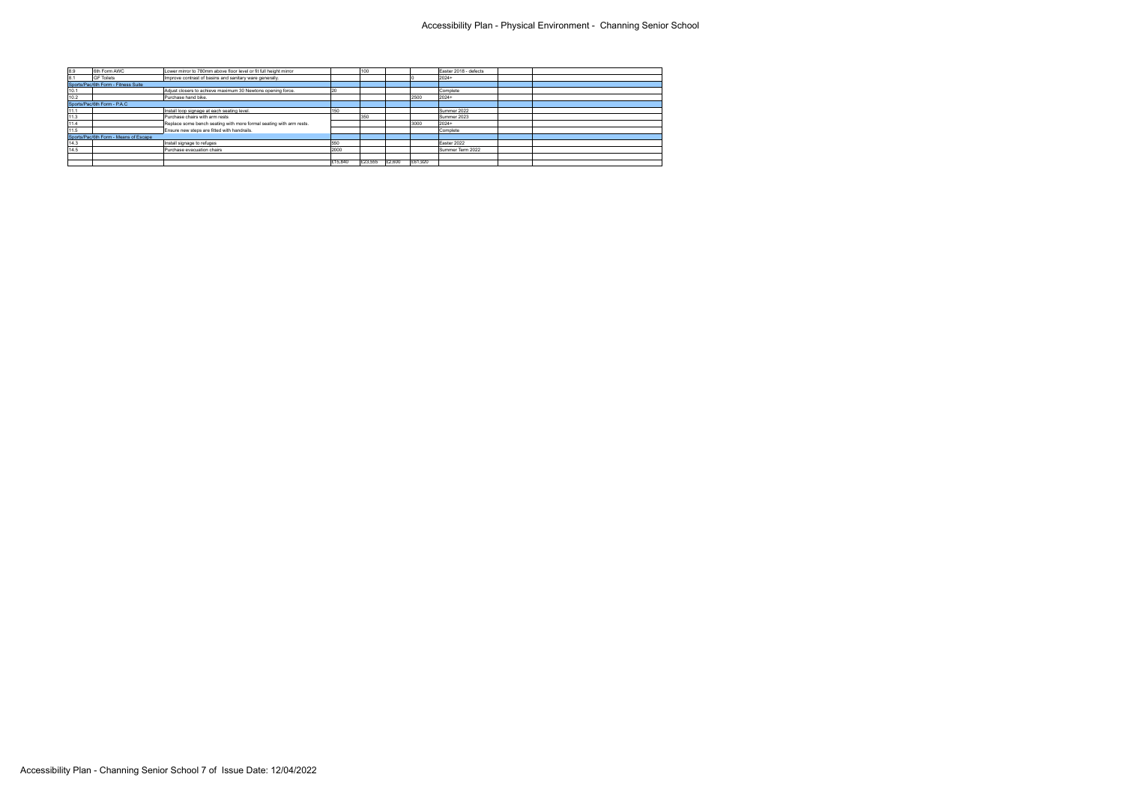| 8.9  | 6th Form AWC                          | Lower mirror to 780mm above floor level or fit full height mirror   |         | 100     |        |         | Easter 2018 - defects |  |
|------|---------------------------------------|---------------------------------------------------------------------|---------|---------|--------|---------|-----------------------|--|
| 8.1  | <b>GF Toilets</b>                     | Improve contrast of basins and sanitary ware generally.             |         |         |        |         | 2024+                 |  |
|      | Sports/Pac/6th Form - Fitness Suite   |                                                                     |         |         |        |         |                       |  |
| 10.1 |                                       | Adjust closers to achieve maximum 30 Newtons opening force.         |         |         |        |         | Complete              |  |
| 10.2 |                                       | Purchase hand bike.                                                 |         |         |        | 2500    | 2024+                 |  |
|      | Sports/Pac/6th Form - P.A.C           |                                                                     |         |         |        |         |                       |  |
| 11.1 |                                       | Install loop signage at each seating level.                         | 150     |         |        |         | Summer 2022           |  |
| 11.3 |                                       | Purchase chairs with arm rests                                      |         | 1350    |        |         | Summer 2023           |  |
| 11.4 |                                       | Replace some bench seating with more formal seating with arm rests. |         |         |        | 3000    | 2024+                 |  |
| 11.5 |                                       | Ensure new steps are fitted with handrails.                         |         |         |        |         | Complete              |  |
|      | Sports/Pac/6th Form - Means of Escape |                                                                     |         |         |        |         |                       |  |
| 14.3 |                                       | Install signage to refuges                                          | 550     |         |        |         | Easter 2022           |  |
| 14.5 |                                       | Purchase evacuation chairs                                          | 2000    |         |        |         | Summer Term 2022      |  |
|      |                                       |                                                                     |         |         |        |         |                       |  |
|      |                                       |                                                                     | £15,840 | £23,555 | £2,600 | £61,920 |                       |  |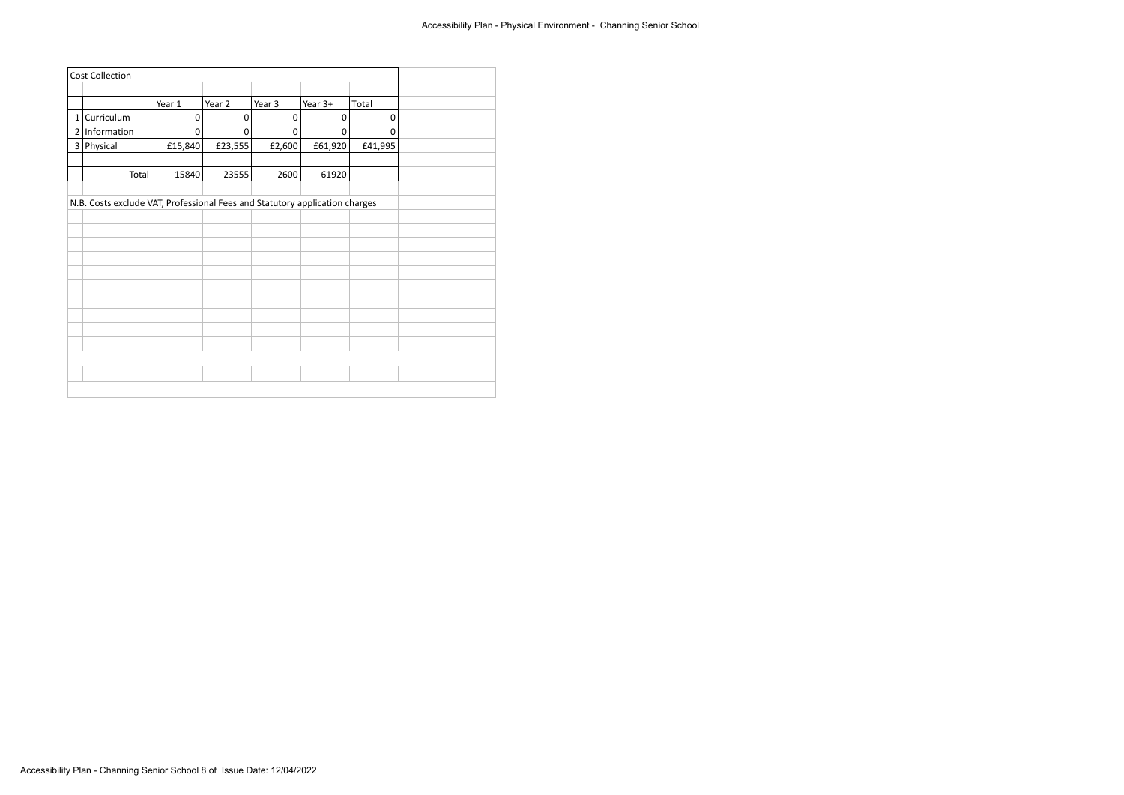| <b>Cost Collection</b> |                                                                             |             |             |           |             |             |  |  |
|------------------------|-----------------------------------------------------------------------------|-------------|-------------|-----------|-------------|-------------|--|--|
|                        |                                                                             |             |             |           |             |             |  |  |
|                        |                                                                             | Year 1      | Year 2      | Year 3    | Year 3+     | Total       |  |  |
|                        | 1 Curriculum                                                                | $\mathbf 0$ | $\mathbf 0$ | $\pmb{0}$ | $\mathbf 0$ | $\mathbf 0$ |  |  |
| 2                      | Information                                                                 | 0           | 0           | $\pmb{0}$ | 0           | 0           |  |  |
|                        | 3 Physical                                                                  | £15,840     | £23,555     | £2,600    | £61,920     | £41,995     |  |  |
|                        |                                                                             |             |             |           |             |             |  |  |
|                        | Total                                                                       | 15840       | 23555       | 2600      | 61920       |             |  |  |
|                        |                                                                             |             |             |           |             |             |  |  |
|                        | N.B. Costs exclude VAT, Professional Fees and Statutory application charges |             |             |           |             |             |  |  |
|                        |                                                                             |             |             |           |             |             |  |  |
|                        |                                                                             |             |             |           |             |             |  |  |
|                        |                                                                             |             |             |           |             |             |  |  |
|                        |                                                                             |             |             |           |             |             |  |  |
|                        |                                                                             |             |             |           |             |             |  |  |
|                        |                                                                             |             |             |           |             |             |  |  |
|                        |                                                                             |             |             |           |             |             |  |  |
|                        |                                                                             |             |             |           |             |             |  |  |
|                        |                                                                             |             |             |           |             |             |  |  |
|                        |                                                                             |             |             |           |             |             |  |  |
|                        |                                                                             |             |             |           |             |             |  |  |
|                        |                                                                             |             |             |           |             |             |  |  |
|                        |                                                                             |             |             |           |             |             |  |  |
|                        |                                                                             |             |             |           |             |             |  |  |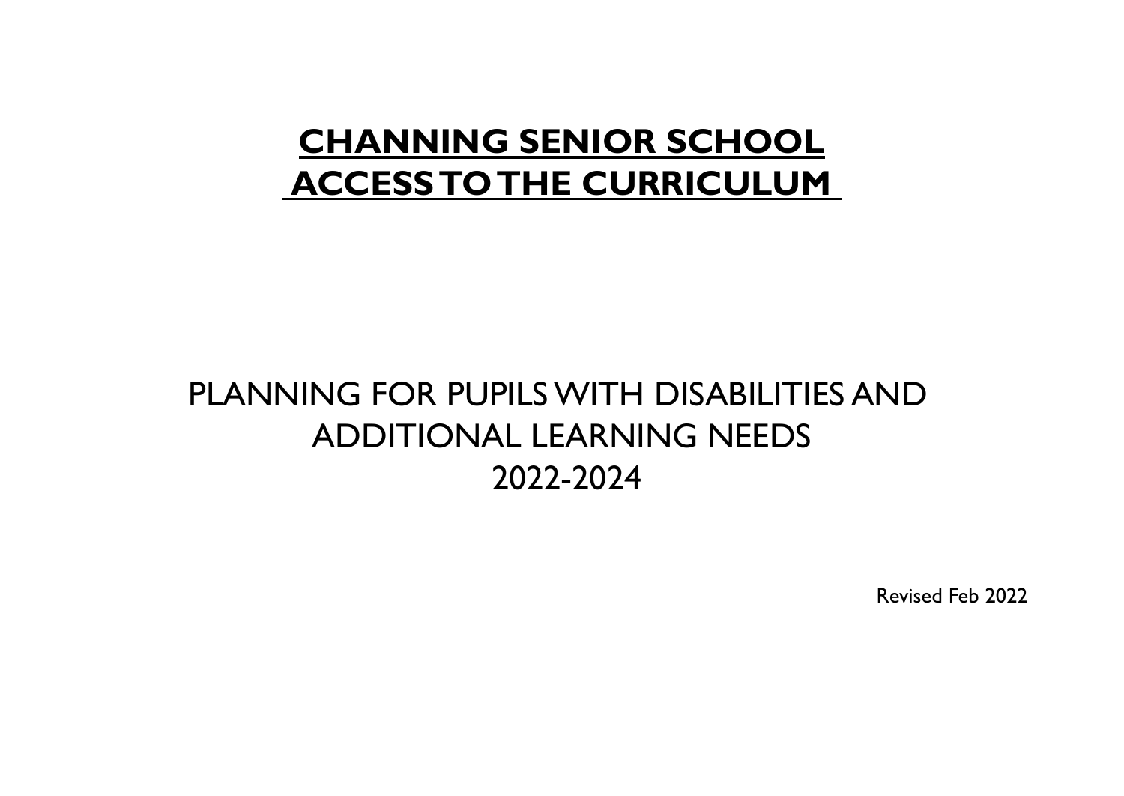## **CHANNING SENIOR SCHOOL ACCESSTOTHE CURRICULUM**

## PLANNING FOR PUPILSWITH DISABILITIES AND ADDITIONAL LEARNING NEEDS 2022-2024

Revised Feb 2022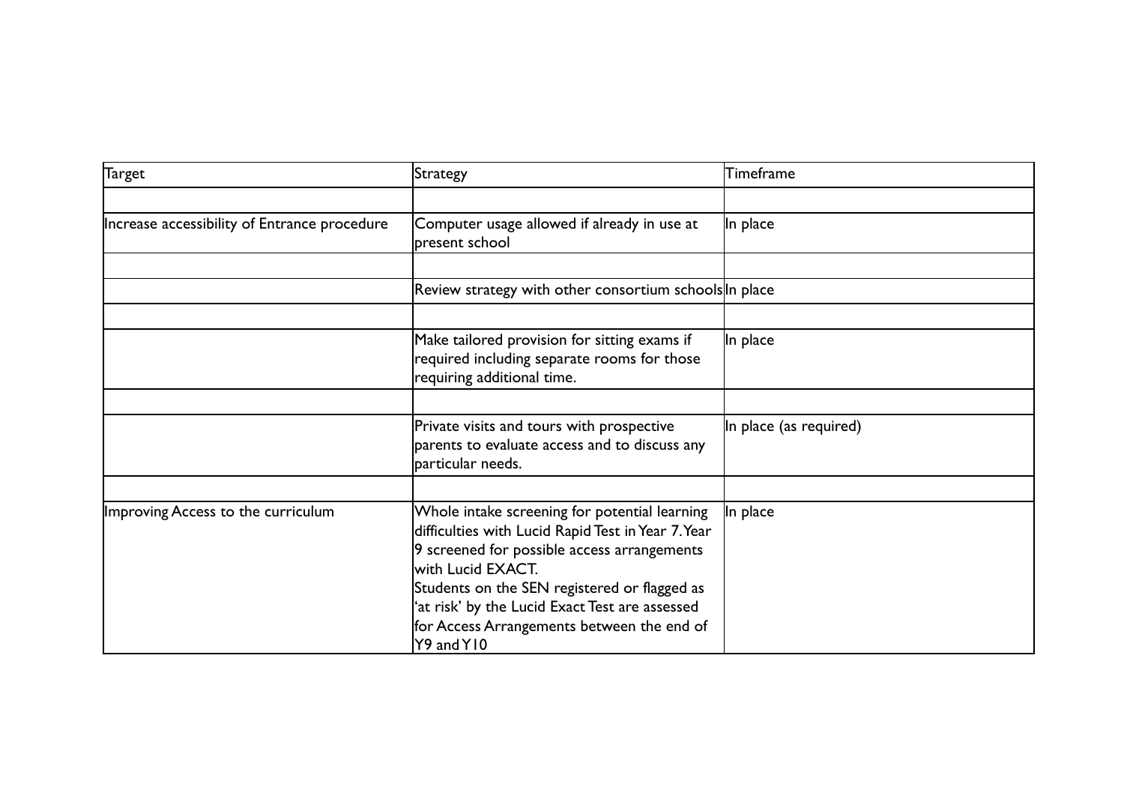| Target                                       | Strategy                                                                                                                                                                                                                                                                                                                              | $\sf{Time}$ frame      |
|----------------------------------------------|---------------------------------------------------------------------------------------------------------------------------------------------------------------------------------------------------------------------------------------------------------------------------------------------------------------------------------------|------------------------|
|                                              |                                                                                                                                                                                                                                                                                                                                       |                        |
| Increase accessibility of Entrance procedure | Computer usage allowed if already in use at<br>present school                                                                                                                                                                                                                                                                         | In place               |
|                                              |                                                                                                                                                                                                                                                                                                                                       |                        |
|                                              | Review strategy with other consortium schools In place                                                                                                                                                                                                                                                                                |                        |
|                                              |                                                                                                                                                                                                                                                                                                                                       |                        |
|                                              | Make tailored provision for sitting exams if<br>required including separate rooms for those<br>requiring additional time.                                                                                                                                                                                                             | In place               |
|                                              |                                                                                                                                                                                                                                                                                                                                       |                        |
|                                              | Private visits and tours with prospective<br>parents to evaluate access and to discuss any<br>particular needs.                                                                                                                                                                                                                       | In place (as required) |
|                                              |                                                                                                                                                                                                                                                                                                                                       |                        |
| Improving Access to the curriculum           | Whole intake screening for potential learning<br>difficulties with Lucid Rapid Test in Year 7. Year<br>9 screened for possible access arrangements<br>with Lucid EXACT.<br>Students on the SEN registered or flagged as<br>'at risk' by the Lucid Exact Test are assessed<br>for Access Arrangements between the end of<br>Y9 and Y10 | In place               |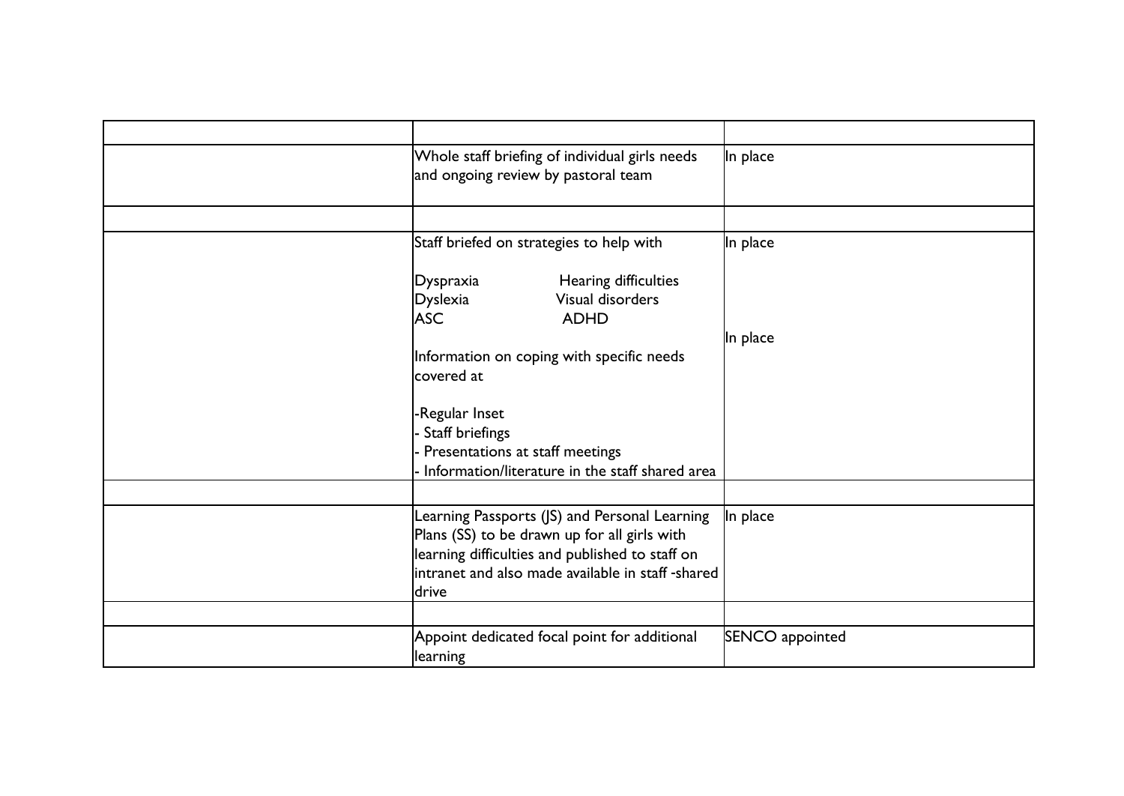| Whole staff briefing of individual girls needs<br>and ongoing review by pastoral team                                                                                                                                                        | In place        |
|----------------------------------------------------------------------------------------------------------------------------------------------------------------------------------------------------------------------------------------------|-----------------|
|                                                                                                                                                                                                                                              |                 |
| Staff briefed on strategies to help with                                                                                                                                                                                                     | In place        |
| Hearing difficulties<br>Dyspraxia<br>Visual disorders<br><b>Dyslexia</b><br><b>ASC</b><br><b>ADHD</b><br>Information on coping with specific needs<br>covered at<br>-Regular Inset<br>- Staff briefings<br>- Presentations at staff meetings | In place        |
| Information/literature in the staff shared area                                                                                                                                                                                              |                 |
| Learning Passports (JS) and Personal Learning<br>Plans (SS) to be drawn up for all girls with<br>learning difficulties and published to staff on<br>intranet and also made available in staff -shared<br>ldrive                              | In place        |
| Appoint dedicated focal point for additional<br>learning                                                                                                                                                                                     | SENCO appointed |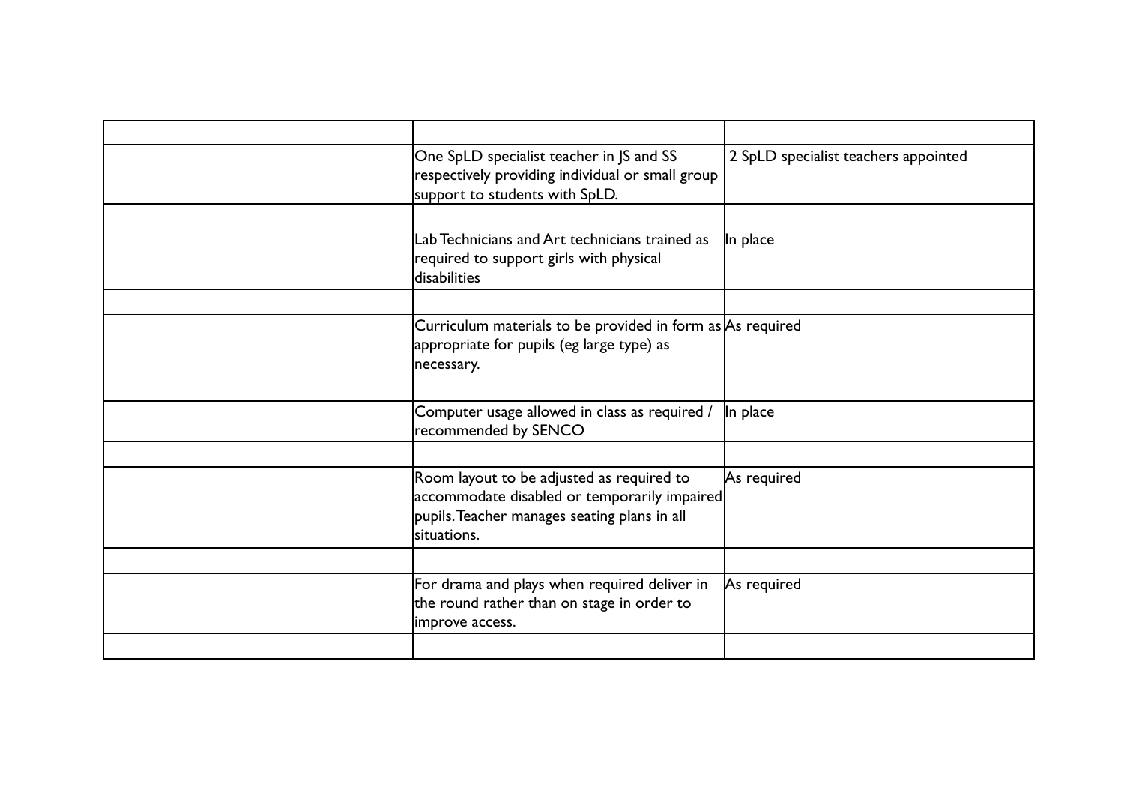| One SpLD specialist teacher in JS and SS<br>respectively providing individual or small group<br>support to students with SpLD.                           | 2 SpLD specialist teachers appointed |
|----------------------------------------------------------------------------------------------------------------------------------------------------------|--------------------------------------|
|                                                                                                                                                          |                                      |
| Lab Technicians and Art technicians trained as<br>required to support girls with physical<br>disabilities                                                | In place                             |
|                                                                                                                                                          |                                      |
| Curriculum materials to be provided in form as $As$ required<br>appropriate for pupils (eg large type) as<br>necessary.                                  |                                      |
|                                                                                                                                                          |                                      |
| Computer usage allowed in class as required /<br>recommended by SENCO                                                                                    | In place                             |
|                                                                                                                                                          |                                      |
| Room layout to be adjusted as required to<br>accommodate disabled or temporarily impaired<br>pupils. Teacher manages seating plans in all<br>situations. | As required                          |
|                                                                                                                                                          |                                      |
| For drama and plays when required deliver in<br>the round rather than on stage in order to<br>improve access.                                            | As required                          |
|                                                                                                                                                          |                                      |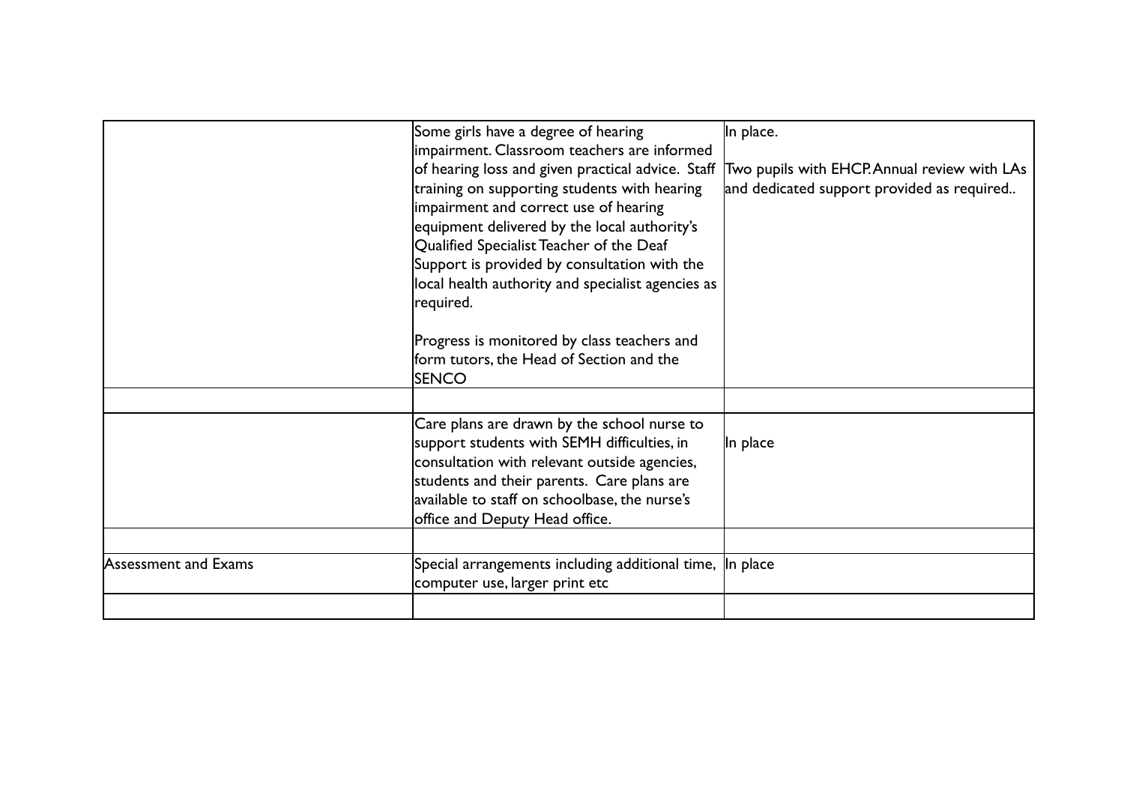|                      | Some girls have a degree of hearing                       | In place.                                    |
|----------------------|-----------------------------------------------------------|----------------------------------------------|
|                      | impairment. Classroom teachers are informed               |                                              |
|                      | of hearing loss and given practical advice. Staff         | Two pupils with EHCP. Annual review with LAs |
|                      | training on supporting students with hearing              | and dedicated support provided as required   |
|                      | impairment and correct use of hearing                     |                                              |
|                      | equipment delivered by the local authority's              |                                              |
|                      | Qualified Specialist Teacher of the Deaf                  |                                              |
|                      | Support is provided by consultation with the              |                                              |
|                      | local health authority and specialist agencies as         |                                              |
|                      | required.                                                 |                                              |
|                      |                                                           |                                              |
|                      | Progress is monitored by class teachers and               |                                              |
|                      | form tutors, the Head of Section and the                  |                                              |
|                      | <b>SENCO</b>                                              |                                              |
|                      |                                                           |                                              |
|                      | Care plans are drawn by the school nurse to               |                                              |
|                      | support students with SEMH difficulties, in               | In place                                     |
|                      | consultation with relevant outside agencies,              |                                              |
|                      | students and their parents. Care plans are                |                                              |
|                      | available to staff on schoolbase, the nurse's             |                                              |
|                      | office and Deputy Head office.                            |                                              |
|                      |                                                           |                                              |
| Assessment and Exams | Special arrangements including additional time,  In place |                                              |
|                      | computer use, larger print etc                            |                                              |
|                      |                                                           |                                              |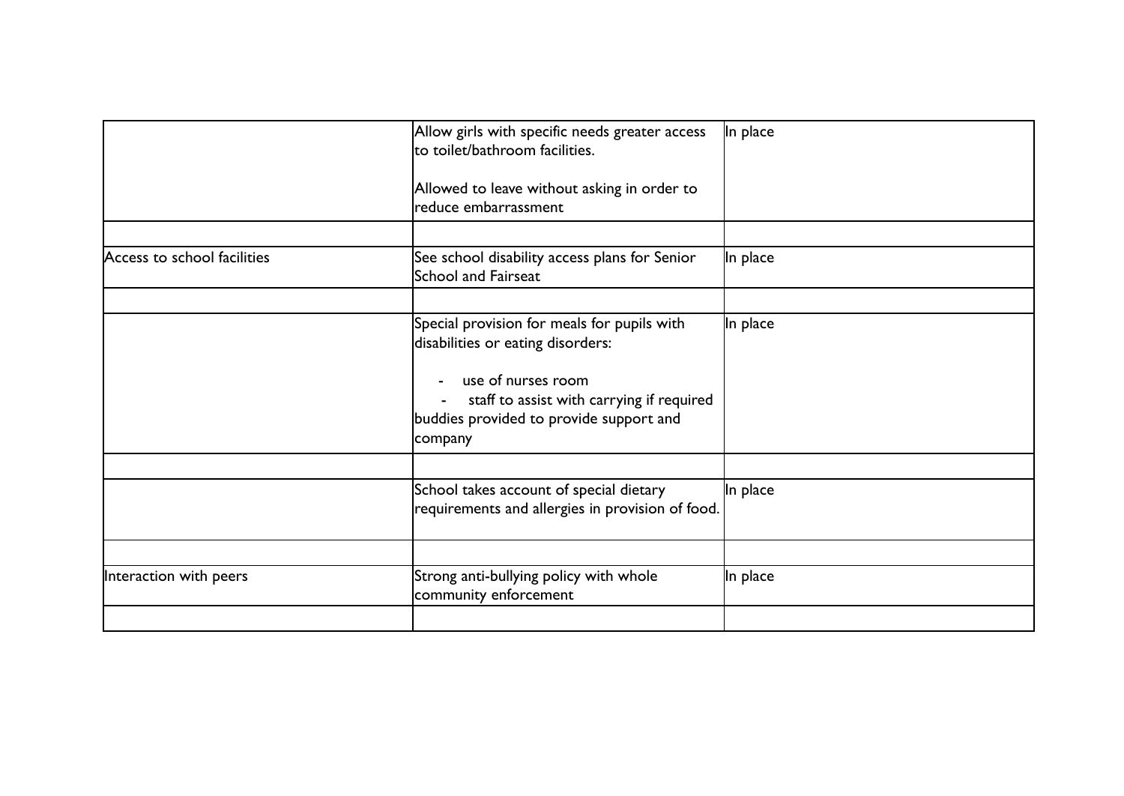|                             | Allow girls with specific needs greater access<br>to toilet/bathroom facilities.<br>Allowed to leave without asking in order to<br>reduce embarrassment                                                             | In place |
|-----------------------------|---------------------------------------------------------------------------------------------------------------------------------------------------------------------------------------------------------------------|----------|
| Access to school facilities | See school disability access plans for Senior<br>School and Fairseat                                                                                                                                                | In place |
|                             | Special provision for meals for pupils with<br>disabilities or eating disorders:<br>use of nurses room<br>$\sim$<br>staff to assist with carrying if required<br>buddies provided to provide support and<br>company | In place |
|                             | School takes account of special dietary<br>requirements and allergies in provision of food.                                                                                                                         | In place |
| Interaction with peers      | Strong anti-bullying policy with whole<br>community enforcement                                                                                                                                                     | In place |
|                             |                                                                                                                                                                                                                     |          |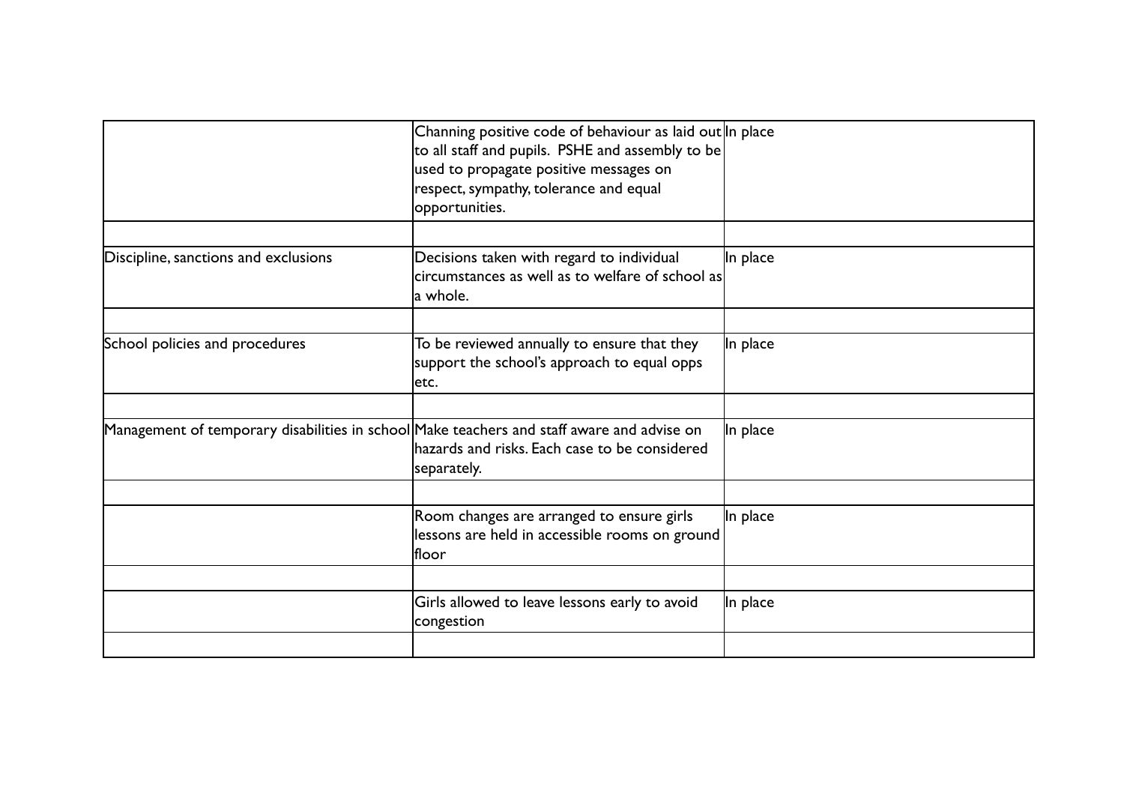|                                                                                            | Channing positive code of behaviour as laid out In place<br>to all staff and pupils. PSHE and assembly to be<br>used to propagate positive messages on<br>respect, sympathy, tolerance and equal<br>opportunities. |          |
|--------------------------------------------------------------------------------------------|--------------------------------------------------------------------------------------------------------------------------------------------------------------------------------------------------------------------|----------|
| Discipline, sanctions and exclusions                                                       | Decisions taken with regard to individual<br>lcircumstances as well as to welfare of school as<br>la whole.                                                                                                        | In place |
| School policies and procedures                                                             | To be reviewed annually to ensure that they<br>support the school's approach to equal opps<br>letc.                                                                                                                | In place |
| Management of temporary disabilities in school Make teachers and staff aware and advise on | hazards and risks. Each case to be considered<br>separately.                                                                                                                                                       | In place |
|                                                                                            | Room changes are arranged to ensure girls<br>lessons are held in accessible rooms on ground<br><b>Ifloor</b>                                                                                                       | In place |
|                                                                                            | Girls allowed to leave lessons early to avoid<br>congestion                                                                                                                                                        | In place |